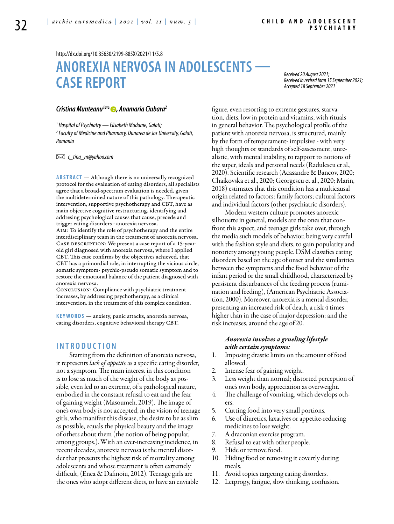<http://dx.doi.org/10.35630/2199-885X/2021/11/5.8>

# **ANOREXIA NERVOSA IN ADOLESCENTS — CASE REPORT**

*Received 20 August 2021; Received in revised form 15 September 2021; Accepted 18 September 2021*

## *[Cristina Munteanu1](https://orcid.org/0000-0002-4133-6243) , Anamaria Ciubara[2](https://orcid.org/0000-0002-7882-1592)*

*1 Hospital of Psychiatry — Elisabeth Madame, Galati; 2 Faculty of Medicine and Pharmacy, Dunarea de Jos University, Galati, Romania* 

 *c\_tina\_m@yahoo.com* 

**ABSTRACT** — Although there is no universally recognized protocol for the evaluation of eating disorders, all specialists agree that a broad-spectrum evaluation is needed, given the multidetermined nature of this pathology. Therapeutic intervention, supportive psychotherapy and CBT, have as main objective cognitive restructuring, identifying and addresing psychological causes that cause, precede and trigger eating disorders - anorexia nervosa.

Aim: To identify the role of psychotherapy and the entire interdisciplinary team in the treatment of anorexia nervosa. CASE DESCRIPTION: We present a case report of a 15-yearold girl diagnosed with anorexia nervosa, where I applied CBT. This case confirms by the objectives achieved, that CBT has a primordial role, in interrupting the vicious circle, somatic symptom- psychic-pseudo somatic symptom and to restore the emotional balance of the patient diagnosed with anorexia nervosa.

Conclusion: Compliance with psychiatric treatment increases, by addressing psychotherapy, as a clinical intervention, in the treatment of this complex condition.

**KEYWORDS** — anxiety, panic attacks, anorexia nervosa, eating disorders, cognitive behavioral therapy CBT.

# **I n t r o d uct i o n**

Starting from the definition of anorexia nervosa, it represents *lack of appetite* as a specific eating disorder, not a symptom. The main interest in this condition is to lose as much of the weight of the body as possible, even led to an extreme, of a pathological nature, embodied in the constant refusal to eat and the fear of gaining weight (Masoumeh, 2019). The image of one's own body is not accepted, in the vision of teenage girls, who manifest this disease, the desire to be as slim as possible, equals the physical beauty and the image of others about them (the notion of being popular, among groups.). With an ever-increasing incidence, in recent decades, anorexia nervosa is the mental disorder that presents the highest risk of mortality among adolescents and whose treatment is often extremely difficult, (Enea & Dafinoiu, 2012). Teenage girls are the ones who adopt different diets, to have an enviable

figure, even resorting to extreme gestures, starvation, diets, low in protein and vitamins, with rituals in general behavior. The psychological profile of the patient with anorexia nervosa, is structured, mainly by the form of temperament- impulsive - with very high thoughts or standards of self-assessment, unrealistic, with mental inability, to rapport to notions of the super, ideals and personal needs (Radulescu et al., 2020). Scientific research (Acasandre & Bancov, 2020; Chaikovska et al., 2020; Georgescu et al., 2020; Marin, 2018) estimates that this condition has a multicausal origin related to factors: family factors; cultural factors and individual factors (other psychiatric disorders).

Modern western culture promotes anorexic silhouette in general, models are the ones that confront this aspect, and teenage girls take over, through the media such models of behavior, being very careful with the fashion style and diets, to gain popularity and notoriety among young people. DSM classifies eating disorders based on the age of onset and the similarities between the symptoms and the food behavior of the infant period or the small childhood, characterized by persistent disturbances of the feeding process (rumination and feeding), (American Psychiatric Association, 2000). Moreover, anorexia is a mental disorder, presenting an increased risk of death, a risk 4 times higher than in the case of major depression; and the risk increases, around the age of 20.

### *Anorexia involves a grueling lifestyle with certain symptoms:*

- 1. Imposing drastic limits on the amount of food allowed.
- 2. Intense fear of gaining weight.
- 3. Less weight than normal; distorted perception of one's own body, appreciation as overweight.
- 4. The challenge of vomiting, which develops others.
- 5. Cutting food into very small portions.
- 6. Use of diuretics, laxatives or appetite-reducing medicines to lose weight.
- 7. A draconian exercise program.
- 8. Refusal to eat with other people.
- 9. Hide or remove food.
- 10. Hiding food or removing it covertly during meals.
- 11. Avoid topics targeting eating disorders.
- 12. Letprogy, fatigue, slow thinking, confusion.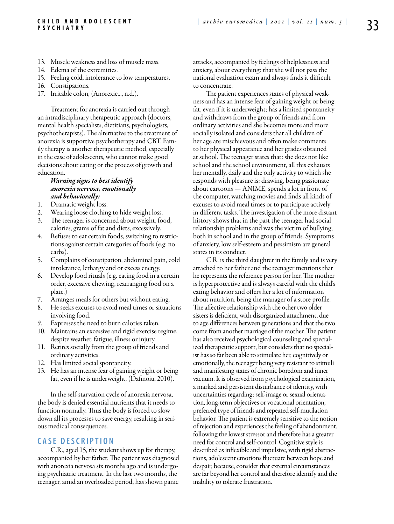#### **Ch i l d a n d A d o l e s c e n t P s y c h i a t r y**

- 13. Muscle weakness and loss of muscle mass.
- 14. Edema of the extremities.
- 15. Feeling cold, intolerance to low temperatures.
- 16. Constipations.
- 17. Irritable colon, (Anorexie..., n.d.).

Treatment for anorexia is carried out through an intradisciplinary therapeutic approach (doctors, mental health specialists, dietitians, psychologists, psychotherapists). The alternative to the treatment of anorexia is supportive psychotherapy and CBT. Family therapy is another therapeutic method, especially in the case of adolescents, who cannot make good decisions about eating or the process of growth and education.

## *Warning signs to best identify anorexia nervosa, emotionally and behaviorally:*

- 1. Dramatic weight loss.
- 2. Wearing loose clothing to hide weight loss.
- 3. The teenager is concerned about weight, food, calories, grams of fat and diets, excessively.
- 4. Refuses to eat certain foods, switching to restrictions against certain categories of foods (e.g. no carbs).
- 5. Complains of constipation, abdominal pain, cold intolerance, lethargy and or excess energy.
- 6. Develop food rituals (e.g. eating food in a certain order, excessive chewing, rearranging food on a plate.)
- 7. Arranges meals for others but without eating.
- 8. He seeks excuses to avoid meal times or situations involving food.
- 9. Expresses the need to burn calories taken.
- 10. Maintains an excessive and rigid exercise regime, despite weather, fatigue, illness or injury.
- 11. Retires socially from the group of friends and ordinary activities.
- 12. Has limited social spontaneity.
- 13. He has an intense fear of gaining weight or being fat, even if he is underweight, (Dafinoiu, 2010).

In the self-starvation cycle of anorexia nervosa, the body is denied essential nutrients that it needs to function normally. Thus the body is forced to slow down all its processes to save energy, resulting in serious medical consequences.

## **C ASE DESC RI P TION**

C.R., aged 15, the student shows up for therapy, accompanied by her father. The patient was diagnosed with anorexia nervosa six months ago and is undergoing psychiatric treatment. In the last two months, the teenager, amid an overloaded period, has shown panic

attacks, accompanied by feelings of helplessness and anxiety, about everything: that she will not pass the national evaluation exam and always finds it difficult to concentrate.

The patient experiences states of physical weakness and has an intense fear of gaining weight or being fat, even if it is underweight; has a limited spontaneity and withdraws from the group of friends and from ordinary activities and she becomes more and more socially isolated and considers that all children of her age are mischievous and often make comments to her physical appearance and her grades obtained at school. The teenager states that: she does not like school and the school environment, all this exhausts her mentally, daily and the only activity to which she responds with pleasure is: drawing, being passionate about cartoons — ANIME, spends a lot in front of the computer, watching movies and finds all kinds of excuses to avoid meal times or to participate actively in different tasks. The investigation of the more distant history shows that in the past the teenager had social relationship problems and was the victim of bullying, both in school and in the group of friends. Symptoms of anxiety, low self-esteem and pessimism are general states in its conduct.

C.R. is the third daughter in the family and is very attached to her father and the teenager mentions that he represents the reference person for her. The mother is hyperprotective and is always careful with the child's eating behavior and offers her a lot of information about nutrition, being the manager of a store profile. The affective relationship with the other two older sisters is deficient, with disorganized attachment, due to age differences between generations and that the two come from another marriage of the mother. The patient has also received psychological counseling and specialized therapeutic support, but considers that no specialist has so far been able to stimulate her, cognitively or emotionally, the teenager being very resistant to stimuli and manifesting states of chronic boredom and inner vacuum. It is observed from psychological examination, a marked and persistent disturbance of identity, with uncertainties regarding: self-image or sexual orientation, long-term objectives or vocational orientation, preferred type of friends and repeated self-mutilation behavior. The patient is extremely sensitive to the notion of rejection and experiences the feeling of abandonment, following the lowest stressor and therefore has a greater need for control and self-control. Cognitive style is described as inflexible and impulsive, with rigid abstractions, adolescent emotions fluctuate between hope and despair, because, consider that external circumstances are far beyond her control and therefore identify and the inability to tolerate frustration.